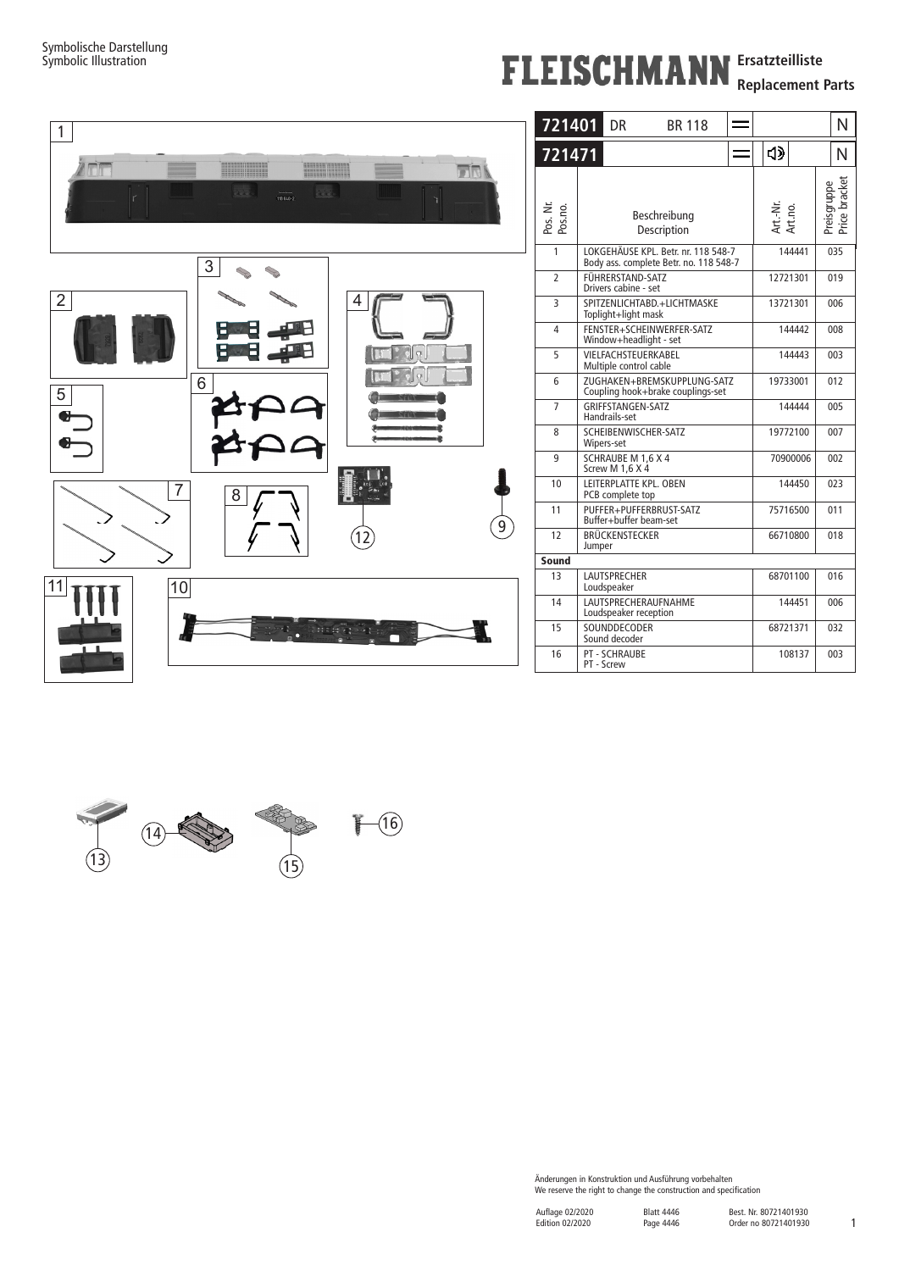## **FLEISCHMANN** Ersatzteilliste

**Replacement Parts**

Price bracket

N





Änderungen in Konstruktion und Ausführung vorbehalten We reserve the right to change the construction and specification

1